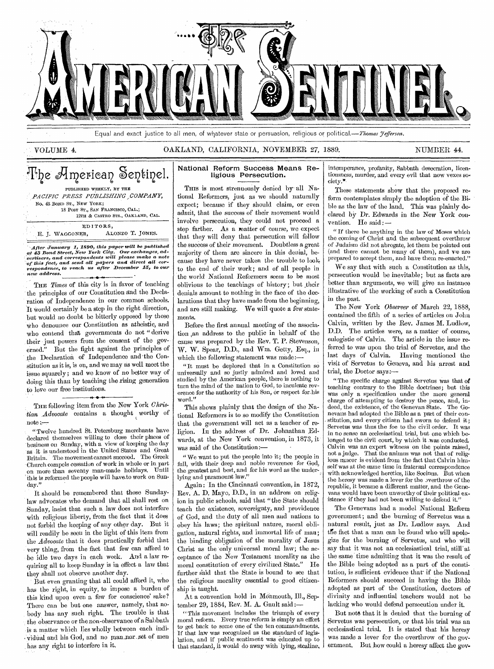

Equal and exact justice to all men, of whatever state or persuasion, religious or political.—Thomas *yefferson*.

### VOLUME 4. CARLAND, CALIFORNIA, NOVEMBER 27, 1889. NUMBER 44.

## The American Sentinel. PUBLISHED WEEKLY, BY THE

|          |                                   |                            | PACIFIC PRESS PUBLISHING COMPANY, |
|----------|-----------------------------------|----------------------------|-----------------------------------|
|          |                                   | No. 43 BOND ST., NEW YORK; |                                   |
|          |                                   |                            | 18 POST ST., SAN FRANCISCO, CAL.; |
|          | 12TH & CASTRO STS., OAKLAND, CAL. |                            |                                   |
| EDITORS, |                                   |                            |                                   |
|          |                                   | E. J. WAGGONER.            | ALONZO T. JONES.                  |

After January 1, 1890, this paper will be published<br>at 43 Bond Street, New York City. Our exchanges, ad-<br>vertisers, and correspondents will please make a note<br>of this fact, and send all papers and direct all cor-<br>responde *new address.* 

THE *Times* of this city is in favor of teaching the principles of our Constitution and the Declaration of Independence in our common schools. It would certainly be a step in the right direction, but would no doubt be bitterly opposed by those Who denounce our Constitution as atheistic, and who contend that governments do not " derive their just powers from the consent of the governed." But the fight against the principles of the Declaration of Independence and 'the Constitution as it is, is on, and we may as well meet the issue squarely; and we know of no better way of doing this than by teaeling the rising generation to love our free institutions.

THE following item from the New York *Christian Advocate* contains a thought worthy of  $note :=$ 

" Twelve hundred St. Petersburg merchants have declared themselves willing to close their places of business on Sunday, with a view of keeping the day as it is understood in the United States and Great Britain. The movement cannot succeed. The Greek Church compels cessation of work in whole or in part on more than seventy man-made holidays. Until this is reformed the people will haveto work on Sunday."

It should be remembered that those Sundaylaw advocates who demand that all shall rest on Sunday, insist that such a law does not interfere with religious liberty, from the fact that it does not forbid the keeping of any other day. But it will readily be seen in the light of this item from the *Advocate* that it does practically forbid that very thing, from the fact that few can afford to be idle two days in each week. And a law requiring all to keep Sunday is in effect a law that they shall not observe another day.

But even granting that all could afford it, who has the right, in equity, to impose a burden of this kind upon even a few for conscience' sake? There can be but one answer, namely, that nobody has any such right. The trouble is that the observance or the non-observance of a Sabbath is a matter which lies wholly between each individual and his God, and no man nor set of men has any right to interfere in it.

### National Reform Success Means Religious Persecution.

THIS is most strenuously denied by all National Reformers, just as we should naturally expect; because if they should claim, or even admit, that the success of their movement would involve persecution, they could not proceed a step farther. As a matter of course, we expect that they will deny that persecution will follow the success of their movement. Doubtless a *great*  majority of them are sincere in this denial, because they have never taken the trouble to look. to the end of their work; and of all people in the world National Reformers seem to be most oblivious to the teachings of history; but their denials amount to nothing in the face of the declarations that they have made from the beginning, and are still making. We will quote a few statements.

Before the first annual meeting of the association An address to the public in behalf of the cause was prepared by the Rev. T. P. Stevenson, W. W. Spear, D.D., and Wm. Getty, Esq., in which the following statement was made:—

" It must be deplored that in a Constitution so universally and so justly admired and loved and studied by the American people, there is nothing to turn the mind of the nation to God, to inculcate reverence for the authority of his Son, or respect for-his word."

This shows plainly that the design of the National Reformers is to so modify the Constitution that the government will act as a teacher of religion. In the address of Dr. Johnathan Edwards, at the New York convention, in 1873, it was said of the Constitution:—

" We want to put the people into it; the people in full, with their deep and noble reverence for God, the greatest and best, and for his word as the underlying and paramount law.'

Again: In the Cincinnati convention, in 1872, Rev. A. D. Mayo, D.D., in an address on religion in public schools, said that "the State should teach the existence, sovereignty, and providence of God, and the duty of all men and nations to obey his laws; the spiritual nature, moral obligation, natural rights, and immortal life of man; the binding obligation of the morality of Jesus Christ as the only universal moral law; the acceptance of the New Testament morality as the moral constitution of every civilized State." He further said that the State is bound to see that the religious morality essential to good citizenship is taught.

At a convention hold in Monmouth, Ill., September 29, 1884, Rev. M. A. Gault said:-

"This movement includes the triumph of every moral reform. Every true reform is simply an effort to get back to some one of the ten commandments. If that law was recognized as the standard of legislation, and if public sentiment was educated up to that standard, it would do away with lying, stealing, intemperance, profanity, Sabbath desecration, licentiousness, murder, and every evil that now vexes society.\*.

These statements show that the proposed reform contemplates simply the adoption of the Bible as the law of the land. This was plainly declared by Dr. Edwards in the New York convention. He said :-

" If there be anything in the law of Moses which the coming of Christ and the subsequent overthrow of Judaism did not abrogate, let them be pointed out (and there cannot be many of them), and we are prepared to accept them, and have them re-enacted."

We say that with such a Constitution as this, persecution would be inevitable; but as facts are better than arguments, we will give an instance illustrative of the working of such a Constitution in the past.

The New York *Observer* of March 22, 1888, contained the fifth of a series of articles on John Calvin, written by the Rev. James M. Ludlow, D.D. The articles were, as a matter of course, eulogistic of Calvin. The article in the issue referred to was upon the trial of Servetus, and the last days of Calvin. Having mentioned the visit of Servetus to Geneva, and his arrest and trial, the Doctor says:—

" The specific charge against Servetus was that of teaching contrary to the Bible doctrines; but this was only a specification under the more general charge of attempting to destroy the peace, and, indeed, the existence, of the Genevan State. The Genevans had adopted the Bible as a part of their constitution, and every citizen had sworn to defend it; Servetus was thus the foe to the civil order. It was in no sense an ecclesiastical trial, but one which belonged to the civil court, by which it was conducted. Calvin was an expert witness on the points raised, not a judge. That the animus was not that of religious rancor is evident from the fact that Calvin himself was at the same time in fraternal correspondence with acknowledged heretics, like Socinus. But when the heresy was made a lever for the overthrow of the republic, it became a different matter, and the Genevans would have been unworthy of their political existence if they had not been willing to defend it."

The Genevans had a model National Reform government; and the burning of Servetus was a natural result, just as Dr. Ludlow says. And the fact that a man can be found who will apologize for the burning of Servetus, and who will say that it was not an ecclesiastical trial, still' at the same time admitting that it was the result of the Bible being adopted as a part of the constitution, is sufficient evidence that if the National Reformers should succeed in having the Bible adopted as part of the Constitution, doctors of divinity and influential teachers would not be lacking who would defend persecution under it.

But note that it is denied that the burning of Servetus was persecution, or that his trial was an ecclesiastical trial. It is stated that his heresy was made a lever for the overthrow of the government. But how could a heresy affect the gov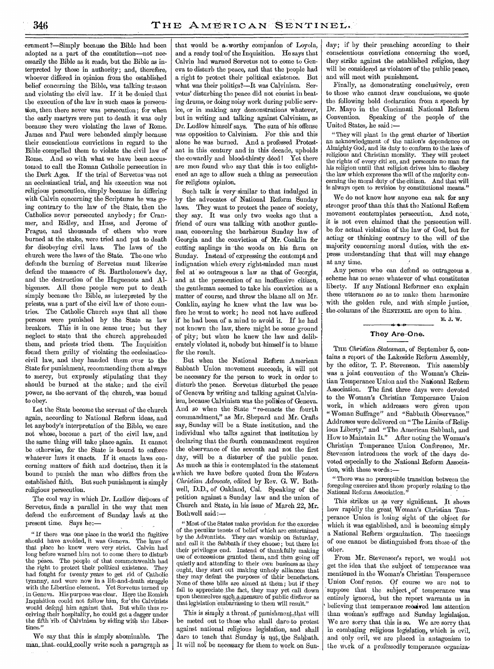ernment ?—Simply because the Bible had been adopted as a part of the constitution—not necessarily the Bible as it reads, but the Bible as interpreted by those in authority; and, therefore, whoever differed in opinion from the established belief concerning the Bible, was talking treason and violating the civil law. If it be denied that the execution of the law in-such cases is persecu-; tion, then there never was persecution; for when the early martyrs were put to death it was only because they were violating the laws of Rome. James and Paul were beheaded simply because their conscientious convictions in regard to the Bible-compelled them to violate the civil law of Rome. And so with what we have been accustomed to call the Roman Catholic persecution in the Dark Ages. If the trial of Servetus was not an ecclesiastical trial, and his execution was not religious persecution, simply -because in differing with Calvin concerning the Scriptures he was going contrary to the law of the State, then the Catholics never persecuted anybody ; for Cranmer, and Ridley, and Huss, and Jerome of Prague, and thousands of others who were burned at the stake, were tried and put to death for disobeying civil laws. The laws of the church were the laws-of the State. The-one who defends the burning of Servetus must likewise defend the massacre of St. Bartholomew's day, and the destruction of the Huguenots and Albigenses. All these people were put to death simply because the Bible, as interpreted by the priests, was a part of the civil law of those countries. The Catholic Church says that all these persons were punished by the State as law breakers. This is in one sense true; but they neglect to state that the church apprehended them, and priests tried them. The Inquisition found them guilty of violating the ecclesiasticocivil law, and they handed them over to the State for punishment, recommending them always to mercy, but expressly stipulating that they should be burned at the stake; and the civil power, as the servant of the church, was bound to obey.

Let the State become the servant of the church again, according to National Reform ideas, and let anybody's interpretation of the Bible, we care not whose, become a part of the civil law, and the same thing will take place again. It cannot be otherwise, for the State is -bound to enforce whatever laws it enacts. If it enacts laws concerning matters of faith and doctrine, then it is bound to punish the man who differs from the established faith. But such punishment is simply religious persecution.

The cool way in which Dr. Ludlow disposes of Servetus, finds a parallel in the way that men defend the enforcement of Sunday laws at the present time. Says he:

If there was one place in the world the fugitiveshould have avoided, it was Geneva. The laws of that place he- knew were very strict. Calvin had long before warned him not to come there to disturb the peace. The people of that commonwealth had the right to protect their political existence. They had fought for twenty years to get rid of Catholic tyranny, and were now in a life-and-death struggle with the Libertine element. Yet Servetus turned up in Geneva. His purpose was clear. Here the Romish Inquisition could not follow him, for' the Calvinists would defend him against that. But while thus receiving their hospitality, he could get a dagger under the fifth 'rib. of Calvinism by siding with the Libertines."

We say that this is simply abominable. The man that could coolly write such a paragraph as that would be a,worthy companion of Loyola, and a ready tool of the Inquisition. He says that Calvin had warned Servetus not to come to Geneva to disturb the peace, and that the 'people had a right to protect their political existence. But what was their polities?—It was Calvinism. Servetus' disturbing the peace did not consist in beating drums, or doing noisy work during public service, or in making any demonstrations whatever, but in writing and talking against Calvinism, as Dr. Ludlow himself says. The sum of his offense was opposition to Calvinism. For this and this alone he was burned. And a professed Protestant in this century and in this decade, upholds the cowardly and blood-thirsty deed! Yet there are men found who say that this is too enlightened an age to allow such a thing as persecution for religious opinion.

Such talk is very similar to that indulged in .by the advocates of National Reform Sunday laws. They want to protect the peace of society, they say. It was only two weeks ago that a friend of ours was talking with another gentleman, concerning the barbarous Sunday law of Georgia and the conviction of Mr. Conklin for cutting saplings in -the woods on his farm on Sunday. Instead-of expressing the contempt and indignation which every right-minded man must feel at' so outrageous a law as that of Georgia, and at the persecution of an inoffensive citizen, the gentleman seemed to take his conviction as a matter of course, and threw the blame all on Mr. Conklin, saying he knew what the law was before he went to work; he need not have suffered if he had been of a mind to avoid it. If he had not known the law, there might be some ground of pity; but when he knew the law and deliberately violated it, nobody but -himself is to blame for the result.

. But when the National Reform American Sabbath Union movement succeeds, it will not be necessary for the person to work in order to disturb the peace. Servetus disturbed the peace of Geneva by writing and talking against Calvinism, because Calvinism was the politics of Geneva. And so when the State "re-enacts the fourth commandment," as Mr. Shepard and Mr. Crafts say, Sunday will be a State institution, and the individual who talks against that institution by declaring that the fourth commandment requires the observance of the seventh and not the first day, will be a disturber of the public peace. As much as this is contemplated in the statement which we have before quoted from the *Western Christian Advocate,* edited by Rev. G. W. Bothwell, D.D., of Oakland, Cal. Speaking of the petition against a Sunday law and the union of Church and State, in his issue of March 22, Mr. Bothwell said:—

" Most of the States make provision for the exercise of the peculiar tenets of belief which are entertained by the Adventists. They can worship on Saturday, and call it the Sabbath if they choose; but there let their privileges end. Instead of thankfully making use of concessions granted them, and' then going off quietly and attending to their own business as they ought, they start out making unholy alliances that they may defeat the purposes of their benefactors. None of these bills are aimed at them ; but if they fail to appreciate the fact, they may yet call down upon themselves such a measure of public disfavor as that legislation embarrassing to them will result."

This is simply a threat, of punishment, that will be meted out to those who shall dare-to protest against national religious legislation, and shall dare to teach that Sunday is ngt, the Sahbath. It will not be necessary for them to work on Sun-

day; if by their preaching according to their conscientious convictions concerning the word, they strike against the established religion, they will be considered as violators of the public peace, and will meet with punishment.

Finally, as demonstrating conclusively, even to those who cannot draw conclusions, we quote the following bold declaration from a speech by Dr. Mayo in the Cincinnati National Reform Convention. Speaking of the people of the United States, he said :-

" They will plant in the great charter of liberties an acknowledgment of the nation's dependence on Almighty God, and its duty to conform to the laws of religious and Christian morality. They will protect the rights of every citi en, and persecute no man for his religion until that religion drives him to disobey the law which expresses the will of the majority concerning the moral duty of the citizen. And that will is always open to revision by constitutional means.'

We do not know how anyone can ask for any stronger proof than this that the National Reform movement contemplates persecution. And note, it is not even claimed that the persecution will. be for actual violation of the law of God, but for acting or thinking contrary to the will of the majority concerning moral duties, with the express understanding that that will may change at any time.

Any person who can defend so outrageous a scheme has no sense whatever of what constitutes liberty. If any National Reformer can explain these utterances so as to make them harmonize with the golden rule, and with simple justice, the-columns of the SENTINEL are open to him.

E. 3. W.

### **They Are-One.**

THE *Christian Statesman*, of September 5, contains a report of the Lakeside Reform Assembly, by the editor, T. P. Stevenson. This assembly was a joint convention of the Woman's Christian Temperance Union and the National Reform Association. The first three days were devoted to the Woman's Christian Temperance Union work, in which addresses were given upon "Woman Suffrage" and "Sabbath Observance." Addresses were delivered on "The Limits of Religious Liberty," and "The American Sabbath, and How to Maintain It." After noting the Woman's Christian Temperance. Union Conference, Mr. Stevenson introduces the work of the days devoted especially to the National Reform Association, with these words:—

" There was no perceptible transition between the foregoing exercises and those properly relating to the National Reform Association."

This strikes us as very significant. It shows how rapidly the great Woman's Christian Temperance Union is losing sight of the object for which it was established, and is becoming simply a National 'Reform' organization. The meetings of one cannot be distinguished from those of the other.

From Mr. Stevenson's report, we would not get the idea that the subject of temperance was mentioned in the Woman's Christian Temperance Union Conf rence. Of course we are not to suppose that the subject of temperance was entirely ignored, but the report warrants us in believing that temperance received less attention than woman's suffrage and Sunday legislation. We are sorry that this is so. We are sorry that in combating religious legislation, which is evil, and only evil, we are placed in antagonism to the work of a professedly temperance organiza-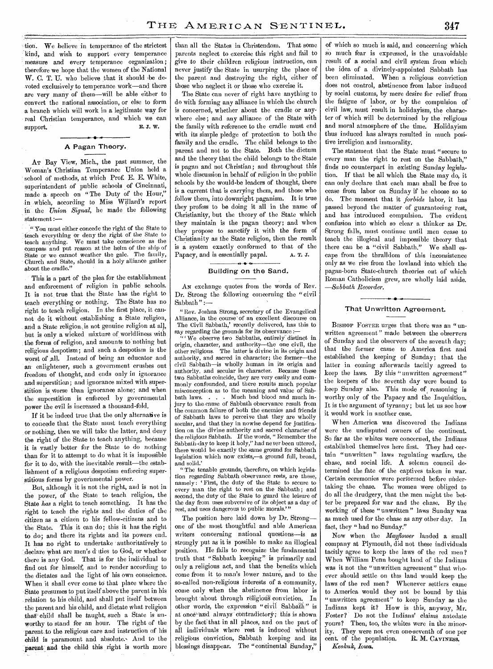tion. We believe in temperance of the strictest kind, and wish to support every temperance measure and every temperance organization ; therefore we hope that the women of the National W. C. T. U. who believe that it should be devoted exclusively to temperance work—and there are very many of them—will be able either to convert the national association, or else to form a branch which will work in a legitimate way for real Christian temperance, and which we can support support.

### • A Pagan Theory.

AT Bay View, Mich., the past summer, the Woman's Christian Temperance Union held a school of methods, at which Prof. E. E. White, superintendent of public schools of Cincinnati, made a speech on "The Duty of the Hour," in which, according to Miss Willard's report in the *Union Signal,* he made the following statement :—

" You must either concede the right of the State to teach everything or deny the right of the State to teach anything. We must take conscience as the compass and put reason at the helm of the ship of State or we cannot weather the gale. The family, Church and State, should in a holy alliance gather about the cradle."

This is a part of the plea for the establishment and enforcement of religion in public schools. It is not, true that the State has the right to teach everything or nothing. The State has no right to teach religion. In the first place, it cannot do it without establishing a State religion, and a State religion is not genuine religion at all, but is only a wicked mixture of worldliness with the forms of religion, and amounts to nothing but religious despotism; and such a despotism is the worst of all. Instead of being an educator and an enlightener, such a government crushes out freedom of thought, and ends only in ignorance and superstition; and ignorance mixed with superstition is worse than ignorance alone; and when the superstition is enforced by governmental power the evil is increased a thousand-fold.

If it be indeed true that the only alternative is to concede that the State must teach everything or nothing, then we will take the latter, and deny the right of the State to teach anything, because it is vastly better for the State to do nothing than for it to attempt to do what it is impossible for it to do, with the inevitable result—the establishment of a religious despotism enforcing superstitious forms by governmental power.

But, although it is not the right, and is not in the power, of the State to teach religion, the State *has* a right to teach something. It has the right to teach the rights and the duties of the citizen as a citizen to his fellow-citizens and to the State. This it can do; this it has the right to do; and there its rights and its powers end. It has no right to undertake 'authoritatively to declare what are men's d ties to God, or whether there is any God. That is for the individual to find out for himself, and to render according to the dictates and the light of his own conscience. When it shall ever come to that place where the State presumes to put itself above the parent in his relation to his child, and shall put itself between the parent and his child, and dictate what religion that' child shall be taught, such a State is unworthy to stand for an hour. The right of the parent to the religious care and instruction of his child is paramount and absolute. And to the parent' and the child this right is worth more than all the States in Christendom. That some parents neglect to exercise this right and fail to *give* to their children religious instruction, can never justify the State in usurping the place of the parent and destroying the right, either of those who neglect it or those who exercise it.

The State can never of right have anything to do with forming any alliance in which the church is concerned, whether about the cradle or anywhere else; and any alliance of the State with the family with reference to the cradle must end with its simple pledge of protection to both the family and the cradle. The child belongs to the parent and not to the State. Both the dictum and the theory that the child belongs to the State is pagan and not Christian; and throughout this whole discussion in behalf of religion in the public schools by the would-be leaders of thought, there is a current that is carrying them, and those who follow them, into downright paganism. It is true they profess to be doing it all in the name of Christianity, but the theory of the State which they maintain is the pagan theory; and when they propose to sanctify it with the form of Christianity as the State religion, then the result is a system exactly conformed to that of the Papacy, and is essentially papal. A. T. J.

#### .<br>• ۱ Building on the Sand.

AN exchange quotes from the words of Rev. Dr. Strong the following concerning the "civil Sabbath" $:=$ 

" Rev. Joshua Strong, secretary of the Evangelical Alliance, in the course 'of an excellent discourse on The Civil Sabbath,' recently delivered, has this to say regarding the grounds for its observance :—

 $\cdots$  We observe two Sabbaths, entirely distinct in origin, character, and authority—the one civil, the other religious. The latter is divine in its origin and authority, and sacred in character; the former—the civil Sabbath—is wholly human in its origin and authority, and secular in character. Because these two Sabbaths coincide, they are very easily and commonly confounded, and there results much popular misconception as to the meaning and value of Sab-<br>bath laws. . . . . Much bad blood and much in-Much bad blood and much injury to the cause of Sabbath observance result from the common failure of both the enemies and friends of Sabbath laws to perceive that they are wholly secular, and that they in nowise depend for justification on the divine authority and sacred character of the religious Sabbath. If the words, " Remember the Sabbath-day to keep it holy," had never been uttered, there would be exactly the same ground for Sabbath legislation which now exists,—a ground full, broad, and solid.'

" The tenable grounds, therefore, on which legislation regarding Sabbath observance rests, are these, namely: 'First, the duty of the State to secure to every man the right to rest on the Sabbath ; and second, the duty of the State to guard the leisure of the day from uses subversive of its object as a day of rest, and uses dangerous to public morals."

The position here laid down by Dr. Strong one of the most thoughtful and able American writers concerning national questions—is as strongly put as it is possible to make an illogical position. He fails to recognize the fundamental truth that "Sabbath keeping" is primarily and only a religious act, and that the benefits which come from it to man's lower nature, and to the so-called non-religious interests of a community, come only when the abstinence from labor is brought about through religious conviction. In other words, the expression "civil Sabbath" is at once''and always' contradictory; this is shown by the fact that in all places, and on the part of all individuals where rest is induced without religious conviction, Sabbath keeping and its blessings disappear. The "continental Sunday,"

of which so much is said, and concerning which so much fear is expressed, is the unavoidable result of a social and civil system from which the idea of a divinely-appointed Sabbath has been eliminated. When a religious conviction does not control, abstinence from labor induced by social customs, by mere desire for relief from the fatigue of labor, or by the compulsion of civil law, must result in holidayism, the character of which will be determined by the religious and moral atmosphere of the time. Holidayism thus induced has always resulted in much positive irreligion and immorality.

The statement that the State must "secure to every man the right to rest on the Sabbath," finds no counterpart in existing Sunday legislation. If that be all which the State may do, it can only declare that each man shall be free to cease from labor on Sunday if he choose so to do. The moment that it *forbids* labor, it has passed beyond the matter of guaranteeing rest, and has introduced compulsion. The evident confusion into which so clear a thinker as Dr. Strong falls, must continue until men cease to teach the illogical and impossible theory that there can be a "civil Sabbath." We shall escape from the thralldom of this inconsistence only as we rise from the lowland into which the pagan-born State-church theories out of which Roman Catholicism grew, are wholly laid aside. *—Sabbath Recorder.* 

#### That Unwritten Agreement.

BISHOP FOSTER urges that there was an "unwritten agreement" made between the observers of Sunday and the observers of the seventh day; that the former came to America first and established the keeping of Sunday; that the latter in coming afterwards tacitly agreed to keep the laws. By this "unwritten agreement" the keepers of the seventh day were bound to keep Sunday also. This mode of reasoning is worthy only of the Papacy and the Inquisition. It is the argument of tyranny; but let us see how it would work in another case.

When America was discovered the Indians were the undisputed owners of the continent. So far as the whites were concerned, the Indians established themselves here first. They had certain "unwritten" laws regulating warfare, the chase, and social life. A solemn council determined the fate of the captives taken in war. Certain ceremonies were performed before undertaking the chase. The women were obliged to do all the drudgery, that the men might the better be prepared for war and the chase. By the working of these "unwritten" laws Sunday was as much used for the chase as any other day. In fact, they " had no Sunday."

Now when the *Mayflower* landed a small company at Plymouth, did not these individuals tacitly agree to keep the laws of the red men ? When William Penn bought land of the Indians was it not the "unwritten agreement" that whoever should settle on this land would keep the laws of the red men? Whenever settlers came to America would they not be bound by this "unwritten agreement" to keep Sunday as the Indians kept it? How is this, anyway, Mr. Foster? Do not the Indians' claims antedate vours? Then, too, the whites were in the minority. They were not even one-seventh of one per cent. of the population. R. M. CAVINESS, cent. of the population. *Keokuk, Iowa.*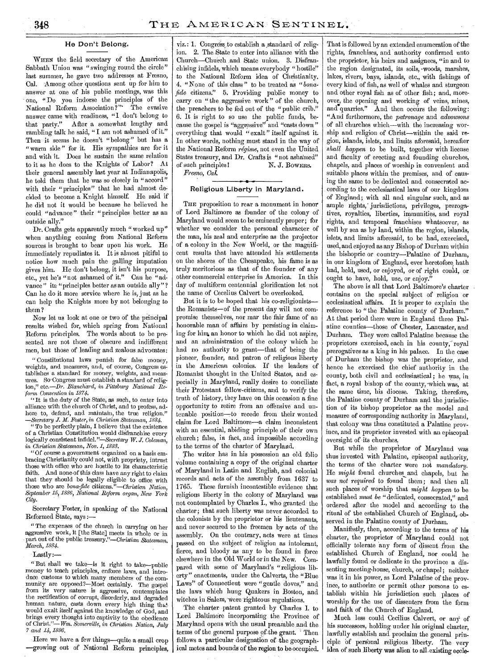#### He Don't Belong.

WHEN the field secretary of the American Sabbath Union was "swinging round the circle" last summer, he gave two addresses at Fresno, Cal. Among other questions sent up for him to answer at one of his public meetings, was this one, "Do you indorse the principles of the National Reform Association?"' The evasive answer came with readiness, "I don't belong to that party." After a somewhat lengthy and rambling talk he said, " I am not ashamed of it." Then it seems he doesn't "belong" but has a "warm side" for it. His sympathies are for it and with it. Does he sustain the same relation to it as he does to the Knights of Labor? At their general assembly last year at Indianapolis, he told them that he was so closely in "accord" with their "principles" that he had almost decided to become a Knight himself. He said if he did not it would be because he believed he could "advance" their "principles better as an outside ally."

Dr. Crafts gets apparently much "worked up" when anything coming from National Reform sources is brought to bear upon his work. He immediately repudiates it. It is almost pitiful to notice how much pain the galling imputation gives him. He don't belong, it isn't his purpose, etc., yet he's "not ashamed of it." Can he "advance" its "principles better as an outside ally"? Can he do it more service where he is, just as he can help the Knights more by not belonging to them ?

Now let us look at one or two of the principal results wished for, which spring from National Reform principles. The words about to be presented are not those of obscure and indifferent men, but those of leading and zealous advocates:

" Constitutional laws punish for false money, weights, and measures, and, of course, Congress establishes a standard for money, weights, and measures. So-Congress must establish a standard of religion," *etc.—Dr. Blanchard, in Pittsburg National Reform Convention in 1874.* 

*"* It is the duty of the State, as such, to enter into alliance with the church of Christ, and to profess, adhere to, defend, and maintain, the true religion." *—Secretary .L M. Foster, in Christian Statesman, 1884.* 

"To be perfectly plain, I believe that the existence of a Christian Constitution would disfranchise every logically consistent *infidel."—Secretary W. J. Coleman, in Christian Statesman, Nov. 1, 1883.* 

"Of course a government organized on a basis embracing Christianity could not, with propriety, intrust those with office who are hostile to its characteristic faith. And none-of this class have any right to claim that they should be legally eligible to office with those who are *bona-fide citizens."—Christian Nation, September 15,1886, National Reform organ, New York City.* 

Secretary Foster, in speaking of the National Reformed State, says:—

" The expenses of the church in carrying on her aggressive work, it [the Statej meets in whole or in part out of the public treasury."—Christian *Statesman, March, 1884.* 

Lastly:—

" But shall we take—is it right to take--public money to teach principles, enforce laws, and introduce customs to which many members of the community are opposed?—Most certainly. The gospel from its very nature is aggressive, contemplates the rectification of corrupt, disorderly, and degraded human nature, casts down every high thing thatwould exalt itself against the knowledge of God, and brings every thought into captivity to the obedience of Christ."— Wm. *Somerville, in Christian Nation, July 7 and 14, 1886.* 

Here we have a few things—quite a-small crop —growing out of National Reform principles,

viz.: 1. Congress to establish a standard of religion. 2. The State to enter into alliance with the Church—Church .and State union. 3. Disfranchising infidels, which means everybody " hostile" to the National Reform idea of Christianity. 4. "None of this class" to be treated as "*bonafide* citizens." 5. Providing public money to carry on "the aggressive work" of the church, the preachers to be fed out of the "public crib." 6. It is right to so use the public funds, because the gospel is "aggressive" and "casts down" everything that would "exalt" itself against it. In other words, nothing must stand in the way of the National Reform *regime,* not even the United States treasury, and Dr. Crafts is "not ashamed" of such principles! N. J. BOWERS. *Fresno, Cal.* 

### Religious Liberty in Maryland.

THE proposition to rear a monument in honor of Lord Baltimore as founder of the colony of Maryland would seem to be eminently proper; for whether we consider the personal character of the man, his zeal and enterprise as the projector of a colony in the New World, or the magnificent results that have attended his settlements on the shores of the Chesapeake, his fame is as truly meritorious as that of the founder of any other commercial enterprise in America. In this day of multiform centennial glorification let not the name of Cecelius Calvert be overlooked.

But it is to be hoped that his co-religionists the Romanists—of the present day will not compromise themselves, nor mar the fair fame of an honorable man of affairs by persisting in claiming for him, an honor to which he did not aspire, and an administration of the colony which he had no authority to grant—that of being the pioneer, founder, and patron of religious liberty in the American colonies. If the leaders of Romanist thought in the United States, and especially in Maryland, really desire to conciliate their Protestant fellow-citizens, and to verify the truth of history, they have on this occasion a fine opportunity to retire from an offensive and untenable position—to recede from their wonted claim for Lord Baltimore—a claim inconsistent with an essential, abiding principle of their own church; false, in fact, and impossible according to the terms of the charter of Maryland.

The writer has in his possession an old folio volume containing a copy of the original charter of Maryland in Latin and English, and colonial records and acts of the assembly from 1637 to 1765. These furnish incontestible evidence that religious liberty in the colony of Maryland was not contemplated by Charles I., who granted the charter; that such liberty was never accorded to the colonists by the proprietor or his lieutenants, and never secured to the freemen by acts of the assembly. On the contrary, acts were at times passed on the subject of religion as intolerant, fierce, and bloody as any to be found in force elsewhere in the Old World or in the New. Compared with some of Maryland's "religious liberty" enactments, under the Calverts, the "Blue Laws" of Connecticut were "gentle doves," and the laws which hung Quakers in Boston, and witches in Salem, were righteous regulations.

The charter patent granted by Charles I. to Lord Baltimore incorporating the Province of Maryland opens with the usual preamble and the terms of the general purpose of the grant. 'Then follows a particular designation of the geographical metes and bounds of the region to be-occupied.

That is followed by an extended enumeration of the rights, franchises, and authority confirmed unto the proprietor, his heirs and assignees, "in and to the region designated, its soils, -woods, marshes, lakes, rivers, bays, islands, etc., with fishings of every kind of fish, as well of whales and sturgeon and other royal fish as of other fish; and, moreover, the opening and working of veins, mines, and quarries." And then occurs the following: "And furthermore, the *patronage* and *advowsons*  of all churches which—with the increasing worship and religion of Christ—within the said region, islands, islets, and limits aforesaid, hereafter *shall happen* to be built, together with license and faculty of erecting and founding churches, chapels, and places of worship in convenient and suitable places within the premises, and of causing the same to be dedicated and consecrated according to the ecclesiastical laws of our kingdom of England; with all and singular such, and as ample rights,' jurisdictions, privileges, prerogatives, royalties, liberties, immunities, and royal rights, and temporal franchises whatsoever, as well by sea as by land, within the region, islands, islets, and limits aforesaid, to be had, exercised, used, and enjoyed as any Bishop of Durham within the bishopric or country—Palatine of Durham, in our kingdom of England, ever heretofore bath had, held, used, or enjoyed, or of right could, or ought to have, hold, use, or enjoy."

The above is all that Lord Baltimore's charter contains on the special subject of religion or ecclesiastical affairs. It is proper to explain the reference to "the Palatine county of Durham." At that period there were in England three Palatine counties—those of Chester, Lancaster, and Durham. They were called Palatine because the proprietors exercised, each in his county, royal prerogatives as a king in his palace. In the case of Durham the bishop was the proprietor, and hence he exercised the chief authority in the county, both civil and ecclesiastical; he was, in fact, a royal bishop of the county, which was, at the same time, his diocese. Taking, therefore, the Palatine county of Durham and the jurisdiction of its bishop proprietor as the model and measure of corresponding authority in Maryland, that colony was thus constituted a Palatine province, and its proprietor invested with an episcopal oversight of -its churches.

But while the proprietor of Maryland was thus invested with Palatine, episcopal authority, the terms of the charter were not *mandatory.*  He *might* found churches and chapels, but he *was not required* to found them; and then all such places of worship that *might happen* to be established *must be* "dedicated, consecrated," and ordered after the model and according. to the ritual of the established Church of England, observed in the Palatine county of Durham.

Manifestly, then, according to the terms of his charter, the proprietor of Maryland could not officially tolerate any form of dissent from the established Church of England, nor could he lawfully found or dedicate in the province a dissenting meeting-house, church, or chapel; neither was it in his power, as Lord Palatine of the province, to authorize or permit other persons to establish within his jurisdiction such places of worship for the use of dissenters from the formand faith of the Church of England.

Much less could Cecilius Calvert, or any of his successors, holding under his original charter, lawfully establish and proclaim the general principle of personal religious liberty. The very idea of such liberty was alien to all-existing eccle-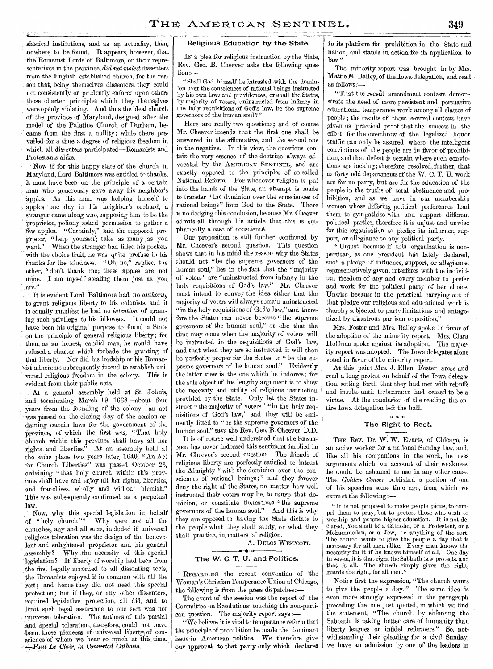siastical institutions, and as an actuality, then, nowhere to be found. It appears, however, that the Romanist Lords of Baltimore, or their representatives in the province, *did not molest* dissenters from the English established church, for the reason that, being themselves dissenters, they could not consistently or prudently enforce upon others those charter principles which they themselves were openly violating. And thus the ideal church of the province of Maryland, designed after the model of the Palatine Church of Durham, became from the first a nullity; while there prevailed for a time a degree of religious freedom in which all dissenters participated—Romanists and Protestants alike.

Now if for this happy state of the church in Maryland, Lord Baltimore was entitled to thanks, it must have been on the principle of a certain man who generously gave away his neighbor's apples. As this man was helping himself to apples one day in his neighbor's orchard, a stranger came along who, supposing him to be the proprietor, politely asked permission to gather a few apples. "Certainly," said the supposed proprietor, "help yourself; take as many, as you want." When the stranger had filled his pockets with the choice fruit, he was quite profuse in his thanks for the kindness. "Oh, no," replied the other, "don't thank me; these apples are not mine. I am myself stealing them just as you are."

It is evident Lord Baltimore had no *authority*  to grant religious liberty to his colonists, and it is equally manifest he had no *intention* of granting such privilege to his followers. It could not have been his original purpose to found a State on the principle of general religious liberty; for then, as an honest, candid man, he would have refused a charter which forbade the granting of that liberty. Nor did his lordship or his Roman-Nisi adherents subsequently intend to establish universal religious freedom in the colony. This is evident from their public acts.

At a general assembly held at St. John's, and terminating March 19, 1638—about four years from the founding of the colony—an act was passed on the closing day of the session ordaining certain laws for the government of the province, of which the first was, "That holy Church within this province shall have all her rights and liberties. $\bar{v}$  At an assembly held at the same place two years later, 1640, "An Act for Church Liberties" was passed October 23, ordaining "that holy church within this province shall have and enjoy all her rights, liberties, and franchises, wholly and without blemish." This was subsequently confirmed as a perpetual law.

Now, why this special legislation in behalf of "holy church"? Why were not all the churches, any and all sects, included if universal religious toleration was the design of the benevolent and enlightened proprietor and his general .assembly? Why the necessity of This special legislation ? If liberty of worship had been from the first legally accorded to all dissenting sects, the Romanists enjoyed it in common with all the rest; and hence they did not need this special protection; but if they, or any other dissenters, required legislative protection, all did, and to limit such legal assurance to one sect was not universal toleration. The authors of this partial and special toleration, therefore, could not have been those pioneers of universal liberty of conscience of whom we hear so much at this time. - *.4 Clair, in Converted Catholic.* 

### Religious Education by the State.

IN a plea for religious instruction by the State, Rev. Geo. B. Cheever asks the following ques $tion :=$ 

"Shall God himself be intrusted with the dominion over the consciences of rational beings instructed by his own laws and providences, or shall the States, by majority of voters, uninstructed from infancy in the holy requisitions of God's law, be the supreme governors of the human soul ? "

Here are really two questions; and of course Mr. Cheever intends that the first one shall be answered in the affirmative, and the second one in the negative. In this view, the questions contain the very essence of the doctrine always advocated by the AMERICAN SENTINEL, and are exactly opposed to the principles of so-called National Reform. For whenever religion is put into the hands of the State, an attempt is made to transfer "the dominion over the consciences of rational beings" from God to the State. There is no dodging this conclusion, because Mr. Cheever admits all through his article that. this is emphatically a case of conscience.

Our proposition is still further confirmed by Mr. Cheever's second question. This question shows that in his mind the reason why the States should not "be the supreme governors of the human soul," lies in the fact that the "majority of voters" are "uninstructed from infancy in the holy requisitions of God's law." Mr. Cheever must intend to convey the idea either that the majority of voters will always remain uninstructed "in the holy requisitions of God's law," and therefore the States can never become "the supreme governors of the human soul," or else that the time may come when the majority of voters will be instructed in the requisitions of God's law, and that when they are so instructed it will then be perfectly proper for the States to " be the supreme governors of the human soul." Evidently the latter view is the one which be indorses; for the sole object of his lengthy argument is to show the necessity and utility of religious instruction provided by the State. Only let the States instruct "the-majority of voters" "in the holy requisitions of God's law," and they will be eminently fitted to "be the supreme governors of the human soul," says the Rev. Geo. B. Cheever, D.D.

It is of course well understood that the SENTI-NEL has never indorsed this sentiment implied in Mr. Cheever's second question. The friends of religious liberty are perfectly satisfied to intrust the Almighty " with the dominion over the consciences of rational beings;" and they forever deny the right of the States, no matter how well instructed their voters may be, to usurp that dominion, or constitute themselves "the supreme governors of the human soul." And this is why they are opposed to having the State dictate to the people what they shall study, or what they shall practice, in. matters of religion.

A. DELOS WESTCOTT.

### The W. C. T. U. and Politics.

REGARDING the recent convention of the Woman's Christian Temperance Union at Chicago, the following is from the press dispatches:—

The event of the session was the report of the Committee on Resolutions touching the non-partisan question. The majority report says :-

"We believe it is vital to temperance reform that the principle of prohibition be made the dominant issue in American politics. We therefore give our approval to that party only which declares

in its platform for prohibition in the State and nation, and stands in action for its application to law.'

The minority report was brought in by Mrs. Mattie M. Bailey, of the Lowa delegation, and read as follows:—

"That the recent amendment contests demonstrate the need of more persistent and persuasive educational temperance work among all classes of people; the results of these several contests have given us practical proof that the success in the effort for the overthrow of the legalized liquor traffic can only be assured where the intelligent convictions of the people are in favor of prohibition, and that defeat is certain where such convictions are lacking; therefore, resolved, further, that as forty odd departments of the W. C. T. U. work are for no party, but are for the education of the people in the truths of total abstinence and prohibition, and as we have in our membership Women whose differing political preferences lead them to sympathize with and support different political parties, therefore it is unjust and unwise for this organization to pledge its influence, support, or allegiance to any political party.

"Unjust because if this organization is nonpartisan, as our president has lately declared, such a pledge of influence, support, or allegiance, representatively given, interferes with the individual freedom of any and every member to prefer and work for the political party of her choice. Unwise because in the practical carrying out of that pledge our religious and educational work is thereby subjected to party limitations and antagonized by disastrous partisan opposition,"

Mrs. Foster and Mrs. Bailey spoke in favor of the adoption of the minority report. Mrs. Clara Hoffman spoke against its adoption. The majority report was adopted. The Iowa delegates alone voted in favor of the minority report.

At this point Mrs. J. Ellen Foster arose and read a long protest on behalf of the Iowa delegation, setting forth that they had met with rebuffs and insults until forbearance had ceased to be a virtue. At the conclusion of the reading the entire Iowa delegation left the hall.

### The Right to Rest.

THE Rev. Dr. W. W. Evarts, of Chicago, is an active worker for a national Sunday law, and, like all his companions in the work, he uses arguments which, on account of their weakness, he would be ashamed to use in any other cause. The *Golden Censer* published a portion of one of his speeches some time ago, from which we extract the following:—

" It is not proposed to make people pious, to compel them to pray, but to protect those who wish to worship and pursue higher education. It is not declared, .You shall be a Catholic, or a Protestant, or a Mohammedan, or a Jew, or anything of the sort. The church wants to give the people a day that is necessary for all men alike. Every man knows the necessity for it if he knows himself at all. One day in seven, it is that right the Sabbath law protects, and that is all. The church simply gives the right, guards the right, for all men.'

Notice first the expression, "The church wants to give the people a day." The same idea is even more strongly expressed in the paragraph preceding the one just quoted, in which we find the statement, "The church, by enforcing the Sabbath, is taking better care of humanity than liberty leagues or infidel reformers." So, notwithstanding their pleading for a civil Sunday, we have an admission by one of the leaders in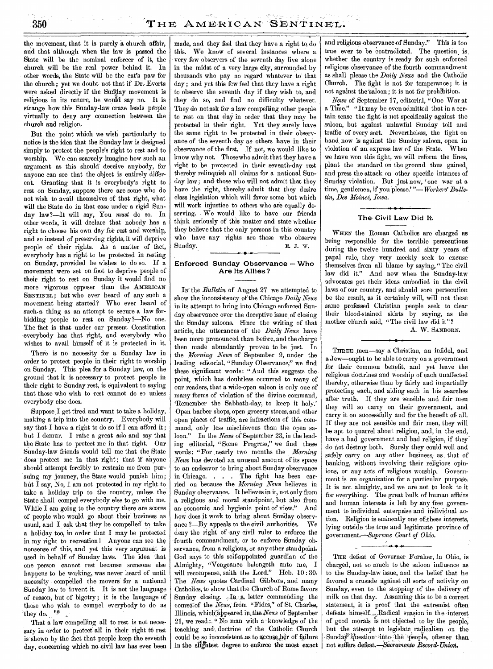the movement, that it is purely a church affair, and that although when the law is passed the State will be the nominal enforcer of it, the church will be the real power behind it. In other words, the State will be the cat's paw for the church; yet we doubt not that if Dr. Everts were asked directly if the Sunday movement is religious in its nature, he would say no. It is strange how this Sunday-law craze leads people virtually to deny any connection between the church and religion.

But the point which we wish particularly to notice is the idea that the Sunday law is designed simply to protect the people's right to rest and to worship. We can scarcely imagine how such an argument as this should deceive anybody, for anyone can see that the object is entirely different. Granting that it is everybody's right to rest on Sunday, suppose there are some who do not wish to avail themselves of that right, what will the State do in that case under a rigid Sunday law?—It will say, You *must* do so. In other words, it will declare that nobody has a right to choose his own day for rest and worship, and so instead of preserving rights, it will deprive people of their rights. As a matter of fact, everybody has a right to be protected in resting on Sunday, provided he wishes to do so. If a movement were set on foot to deprive people of their right to rest on Sunday it would find no more vigorous opposer than the AMERICAN SENTINEL; but who ever heard of any such a movement being started? Who ever heard of such-a thing as an attempt to secure a law forbidding people to rest on Sunday?—No one. The fact is that under our present Constitution everybody has that right, and everybody who wishes to avail himself of it is protected in it.

There is no necessity for a Sunday law in order to protect people in their right to worship on Sunday. This plea for a Sunday law, on the ground that it is necessary to protect people in their right to Sunday rest, is equivalent to saying that those who wish to rest cannot do so unless everybody else does.

Suppose I get tired and want to take a holiday, making a trip into the country. Everybody will say that I have a right to do so if I can afford it; but I demur. I raise a great ado and say that the State has to protect me in that right. Our Sunday-law friends would tell me that the State does protect me in that right; that if anyone should attempt forcibly to restrain me from pursuing my journey, the State would punish him; but I say, No, I am not protected in my right to take a holiday trip to the country, unless the State shall compel everybody else to go with me. While I am going to the country there are scores of people who would go about their business as usual, and I ask that they be compelled to take a holiday too, in order that I may be protected in my right to recreation! Anyone can see the nonsense of this, and yet this very argument is used in behalf of Sunday laws. The idea that one person cannot rest because someone else happens to be working, was never heard of until necessity compelled the movers for a national Sunday law to invent it. It is not the language of reason, but of bigotry; it is the language of those who wish to compel everybody to do as they do.

That a law compelling all to rest is not necessary in order to protect all in their right to rest is shown by the fact that people keep the seventh day, concerning which no civil law has ever been

made, and they feel that they have a right to do this. We know of several instances where a very few observers of the seventh day live alone in the midst of a very large city, surrounded by thousands who pay no regard whatever to" that day; and yet this few feel that they have a right to observe the seventh day if they wish to, and they do so, and find no difficulty whatever. They do not ask for a law compelling other people to rest on that day in order that they may be protected in their right. Yet they surely have the same right to be protected in their observance of the seventh day as others have in their observance of the first. If not, we would like to know why not. Those who admit that they have a right to be protected in their seventh-day rest thereby relinquish all claims for a national Sunday law; and those who will not admit that they have the right, thereby admit that they desire class legislation which will favor some but which will work injustice to others who are equally deserving. We would like to have our friends think seriously of this matter and state whether they believe that the only persons in this country who have any rights are those who observe Sunday. Bunday.

### **Enforced Sunday Observance — Who Are Its Allies?**

IN the *Bulletin* of August 27 we attempted to show the,inconsistency of the Chicago *Daily News*  in its attempt to bring into Chicago enforced Sunday observance over the deceptive issue of closing the Sunday saloons. Since the writing of that article, the utterances of the *Daily News* have been more pronounced than before, and the charge then made abundantly proven to be just. In the *Morning News* of September 9, under the leading editorial, "Sunday Observance," we find these significant words: "And this suggests the point, which has doubtless occurred to many of our readers, that a wide-open saloon is only one of many forms of violation of the divine command, `Remember the Sabbath-day, to keep it holy.' Open barber shops, open grocery stores, and other open places of traffic, are infractions of this command, only less mischievous than the open saloon." In the *News* of September 23, in the leading editorial, "Some Progress," we find these words: "For .nearly two months the *Morning News* has devoted an unusual amount of its space to an endeavor to bring about Sunday observance in Chicago. . . . The fight has been carried on because the *Morning News* believes in Sunday observance. It believes in it, not only from a religious and moral standpoint, but also from an economic and hygienic point of view." And how does it work to bring about Sunday observance ?—By appeals to the civil authorities. We deny the right of any civil ruler to enforce the fourth commandment, or to enforce Sunday observance, from a religious, or any other standpoint. God says to this self-appointed guardian of the Almighty, "Vengeance belongeth unto me, I will recompense, saith the Lord." Heb. 10 : 30. The *News* quotes Cardinal Gibbons, and many Catholics, to show that the Church of Rome favors Sunday closing.  $\Box$  In a letter commending the course<sub>40</sub>f the *News*, from "Fides," of St. Charles, Illinois, whicli'abpeared in,the,News of September 21, we read: "No man with a knowledge of the teaching and doctrine of the Catholic Church could be so inconsistent as to accuse her of failure in the slightest degree to enforce the most exact  $\vert$ 

and religious observance of Sunday." This is too true ever to be contradicted. The question is whether the country is ready for such enforced religious observance of the fourth commandment as shall please the *Daily News* and the Catholic Church. The fight is not for temperance; it is not against the'saloon ; it is not for prohibition.

*News* of September 17, editorial, "One War at a Time." "It may be even admitted that in a certain sense the fight is not specifically against the saloon, but against unlawful Sunday toil and traffic of every sort. Nevertheless, the fight on hand now is against the Sunday saloon, open in violation of an express law of the State. When we have won this fight, we will reform the lines, plant the standard on the ground thus gained, and press the attack on other specific intances of Sunday violation. But just now, 'one war at a time, gentlemen, if you please.' "— *Workers' Bulle* $tin,$  Des Moines, Iowa.

### *•* **The-Civil Law Did It.**

WHEN the Roman Catholics are charged as being responsible for the terrible persecutions during the twelve hundred and sixty years of papal rule, they very meekly seek to excuse themselves from all blame by saying," The civil law did it." And now when the Sunday-law advocates get their ideas embodied in the civil laws of our country, and should sore persecution be the result, as it certainly will, will not these same professed Christian people seek to clear their blood-stained skirts by saying, as the mother church said, "The civil law did it"?

A. W. SANBORN.

THREE men—say a Christian, an infidel, and aJew—ought to be able to carry on a government for their common benefit, and yet leave the religious doctrines and worship of each unaffected thereby, otherwise than by fairly and impartially protecting each, and aiding each in his searches after truth. If they are sensible and fair men they will so carry on their government, and carry it on successfully and for the benefit of. all. If they are not sensible and fair men, they will be apt to quarrel about religion, and, in the end, have a bad government and bad religion, if they do not destroy both. Surely they could well and safely carry on any other business, as that of banking, without involving their religious opinions, or any acts of religious worship. Government is an organization for a particular purpose: It is not almighty, and we are not to look to it for everything. The great bulk of human affairs and human interests is left by any free government to individual enterprise and individual action. Religion is eminently one of these interests, lying outside the true and legitimate province of government.-=-Supreme *Court of Ohio.*  ► *•* **4.** 

THE defeat of Governer Foraker, In Ohio, is charged, not so much to the saloon influence as to the Sunday-law issue, and the belief that he favored a crusade against all sorts of activity on Sunday, even to the stopping of the delivery of milk on that day. Assuming this to be a correct statement; it is proof that the extremist often defeats himself. ... Radical suasion in the interest of good morals is not objected to by the people, but the attempt to legislate radicalism on the Sunday<sup>3</sup> question into the people, oftener than not suffers defeat.**—Sacramento Record-Union.**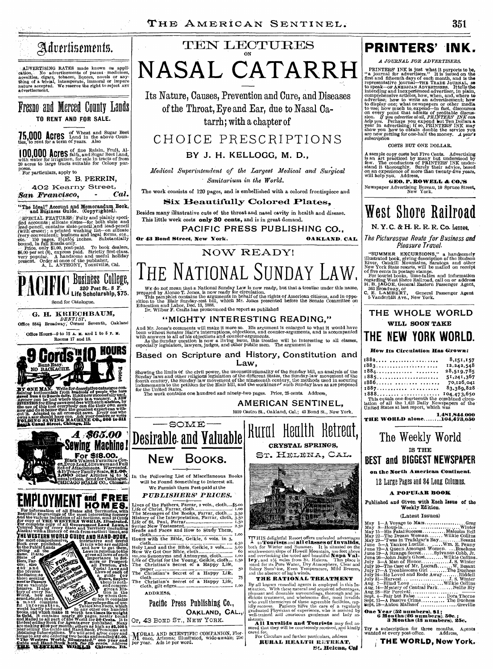## Advertisements.

ADVERTISING RATES made known on application.<br>Cation. No advertisements of patent medicines, organs, tobacco, liquors, novels or anything of a trivial, intemperate, immoral or impure nature accepted. We reserve the right to

Fresno and Merced County Lands **TO RENT AND FOR SALE.** 

## **15,000 ACIES** <u>Land in the above Counties</u>; to rent for a term of years. Also

**100,000 ACTES** falfa, and Sugar Beet Land, with water for irrigation, for sale in tracts of from 20 acres to large tracts suitable for Colony purposes. For particulars, apply to

**E. B. PERRIN, 402 Kearny Street,**  San Francisco,

"The Ideal" Account and Memorandum Book,<br>| and Business Guide. (Copyrighted). SPECIAL FEATURES: Fully and plainly specified accounts; silicate slates—for both slate and peach peach is lead-pencil (with enser); a printed washing list—on silicate (with enser); a printed washing list—on silicate (very











## $\tt TEN LEOTURES$ ON **NASAL CATARRH**

Its Nature, Causes, Prevention and Cure, and Diseases of the Throat, Eye and Ear, due to Nasal Catarrh; with a chapter of

### CHOICE PRESCRIPTIONS

### **BY J. H. KELLOGG, M. D.,**

*Medical Superintendent of the Largest \_Medical and Surgical Sanitarium in the World.* 

The work consists **of 120 pages, and is embellished with** a colored frontispiece and

### **Six Beautifully Colored Plates,**

Besides many illustrative cuts of the throat and nasal cavity in health and disease. This little work costs **only 30 cents, and is** in great demand.

**PACIFIC PRESS PUBLISHING CO.,** 

0

Head surface and Health Container and the Bible, Geikie, 6 vols. in 3,<br>
House container and the Bible, Geikie, 6 vols. in 3,<br>
Holy Land and the Bible, Geikie, 2 vols....... 5.50<br>
How We Got our Bible, defth................

The Christian's Secret of a Happy Life, cloth, gilt edges I.00

Pacific Press Publishing Co.,

**Or, 43** BOND ST., NEW YORK.

**OAKLAND, CAL.,** 

ADDRESS,

**Or 43 Bond Street, New York. OAKLAND, CAL.** 

THE NATIONAL SUNDAY LAW. **NOW READY!** 

We do not mean that a National Sunday Law is now ready, but that a treatise under this name, prepared by Alonzo T. Jones, is now ready for circulation.<br>This pamphlet contains the arguments in behalf of the rights of Americ

### **"MIGHTY INTERESTING READING,"**

And Mr. Jones's comments will make it more so. His argument is enlarged to what it would have<br>been without Senator Blair's interruptions, objections, and counter-arguments, and is accompanied<br>with answers to all of his obj

**Based on Scripture and History, Constitution and Law,** 

Showing the limits of , the civil power, the unconstitutionality of the Sunday bill, an analysis of the Sunday laws and other religious legislation of the different States, the Sunday-law mood ending the different states, for the United States. The work contains one hundred and ninety-two pages. Price, 25 cents. Address,

**AMERICAN SENTINEL,** 

1059 Castro St.. Oakland, Cal.; 43 Bond St., New York.



TT HIS delightful Resort offers unrivaled advantages  $\perp$  to **Tourists** and **all classes of Invalids**,<br>both for Winter and Summer. It is situated on the southwestern slope of Howell Mountain, 500 feet above<br>and overlookin

**THE RATIONAL TREATMENT THE RATIONAL TREATMENT**<br>By all known remedial agents is employed in this In-<br>stitution. With these natural and acquired advantages,<br>pleasant and destrable surroundings, thorough and ju-<br>pleasant and destrable surroundings

sistants, **All Invalids and Tourists** may feel as-sured that they will he courteously received, *And* kindly cared for. For Circulars and further particulars, address **'-** 

**RURAL HEALTH RETREAT,** t. **Helena, eat** 

## **PRINTERS' INK.**

### *A JOURNAL FOR ADVERTISERS.*

**PRINTERS'** INK is just what it purports to be, "a journal for advertisers." It is issued on the first and fitter iournal—*THE TRADE JOURNAL*, so the representative journal—*THE ADE JOURNAL*, so comprehensive and incerpen

### COSTS BUT ONE DOLLAR.

A sample copy costs but Five Cents. Advertising<br>is an art practiced by many but understood by<br>few. The conductors of PRINTERS' INK understand it thoroughly. Surely their advice, based<br>on an experience of more than twenty-f

**GEO. P. ROWELL & CO.'S** Newspaper Advertising Bureau, 10 Spruce Street, New York.

# West Shore Railroad

**N. Y. C. & H. R. R. R** Co. Lessee,

*The Picturesque Route for Business and Pleasure Travel.* 

"SUMMER EXCURSIONS," a handsomely<br>
illustrated book, giving description of the Hudson<br>
River, Catskill Mountains, Saratoga and other<br>
New York State resorts, will be mailed on receipt<br>
New York State resorts, will be mail

### **THE WHOLE WORLD WILL SOON TARE THE NEW YORK WORLD.**

### **How Its Circulation Has Grown:**

| 1882 | 8,151,157                                                                                                                            |
|------|--------------------------------------------------------------------------------------------------------------------------------------|
| 1883 | 12,242,548                                                                                                                           |
|      | 28,519,785                                                                                                                           |
|      | 51,241,367                                                                                                                           |
| 1886 | 70,126,041                                                                                                                           |
|      | 83.380.828                                                                                                                           |
|      | $1888 \ldots  \ldots  \ldots 104.473.650$                                                                                            |
|      | This equals one-fourteenth the combined circulation of all the 1.423 Daily Newspapers of the United States at last report, which was |
|      |                                                                                                                                      |
|      |                                                                                                                                      |
|      | 1.481.844.000<br><b>THE WORLD alone104,473,650</b>                                                                                   |
|      |                                                                                                                                      |

The Weekly World **IS THE BEST and BIGGEST NEWSPAPER** 

### **on the North American Continent.**

### 12 Large Pages and 84 Long Columns.

### **A POPULAR BOOR**

Published and Given with Each Issue of **the Weekly Edition,** 

#### **(Latest Issues)**

May 1—A Voyage to Mars Greg May 3—Houp-la Winter May 15—His Fatal Success Malcolm Bell May 22 The Dream Woman Wilkie Collins May 29—'Twas in Trafalgar's Bay Besant June 5—A Yankee Lucille.. .....Wm. E Penny June 12—A Queen Amongst Women. ...Braehme June 19—A Strange Secret Sylvanus Cobb, Jr. June 26—John Jago's Ghost Wilkie Collins\_ July3—A Man of Honor J S Winter July 10—The Case of Mr. Lucraft W. Besant July 17—A Troublesome Girl ...... The Duchess July 24—He Loved and Rode Away Riddell July 31—Harvest J S Winter Aug. 7—Blind 'Love Wilkie Collins Aug. 14—Mystery of Central Park *Nellie* Bly Aug. 28—Sir Percival Sept. 4—Fair but False........... Dora Thorne Sept. 11—A Passive Crime The Duchess Sept. 18—Antou Malissof Greville

**One** Year (52 **numbers), SI: 6 Months** (26 numbers), 50e. **3 Months (13 numbers),** 25c.

Try a subscription for three months. Agents wanted at every post-office. Address,

**THE WORLD, New York.**